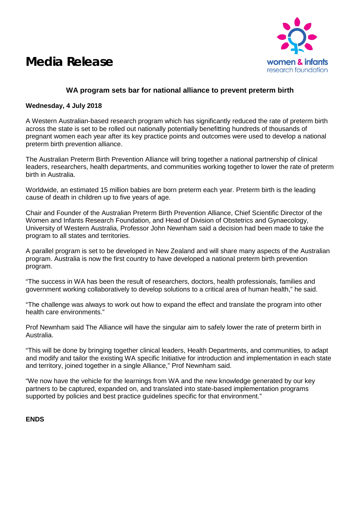## **Media Release**



### **WA program sets bar for national alliance to prevent preterm birth**

### **Wednesday, 4 July 2018**

A Western Australian-based research program which has significantly reduced the rate of preterm birth across the state is set to be rolled out nationally potentially benefitting hundreds of thousands of pregnant women each year after its key practice points and outcomes were used to develop a national preterm birth prevention alliance.

The Australian Preterm Birth Prevention Alliance will bring together a national partnership of clinical leaders, researchers, health departments, and communities working together to lower the rate of preterm birth in Australia.

Worldwide, an estimated 15 million babies are born preterm each year. Preterm birth is the leading cause of death in children up to five years of age.

Chair and Founder of the Australian Preterm Birth Prevention Alliance, Chief Scientific Director of the Women and Infants Research Foundation, and Head of Division of Obstetrics and Gynaecology, University of Western Australia, Professor John Newnham said a decision had been made to take the program to all states and territories.

A parallel program is set to be developed in New Zealand and will share many aspects of the Australian program. Australia is now the first country to have developed a national preterm birth prevention program.

"The success in WA has been the result of researchers, doctors, health professionals, families and government working collaboratively to develop solutions to a critical area of human health," he said.

"The challenge was always to work out how to expand the effect and translate the program into other health care environments."

Prof Newnham said The Alliance will have the singular aim to safely lower the rate of preterm birth in Australia.

"This will be done by bringing together clinical leaders, Health Departments, and communities, to adapt and modify and tailor the existing WA specific Initiative for introduction and implementation in each state and territory, joined together in a single Alliance," Prof Newnham said.

"We now have the vehicle for the learnings from WA and the new knowledge generated by our key partners to be captured, expanded on, and translated into state-based implementation programs supported by policies and best practice guidelines specific for that environment."

### **ENDS**